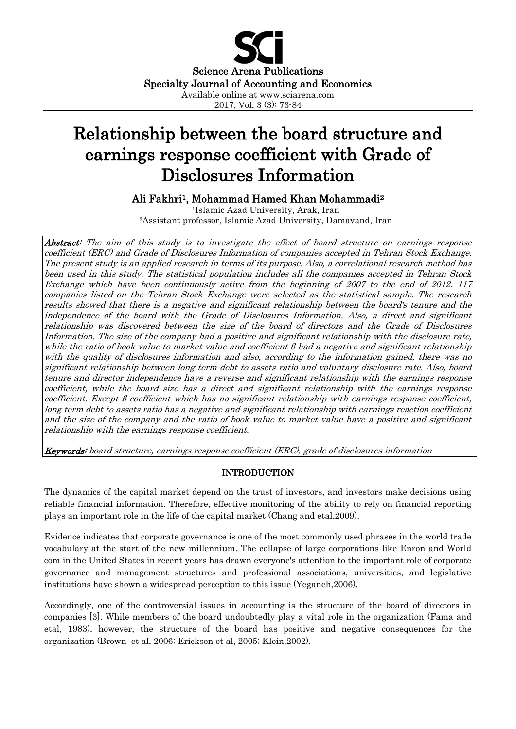

# Relationship between the board structure and earnings response coefficient with Grade of Disclosures Information

Ali Fakhri1, Mohammad Hamed Khan Mohammadi<sup>2</sup>

<sup>1</sup>Islamic Azad University, Arak, Iran <sup>2</sup>Assistant professor, Islamic Azad University, Damavand, Iran

Abstract: The aim of this study is to investigate the effect of board structure on earnings response coefficient (ERC) and Grade of Disclosures Information of companies accepted in Tehran Stock Exchange. The present study is an applied research in terms of its purpose. Also, a correlational research method has been used in this study. The statistical population includes all the companies accepted in Tehran Stock Exchange which have been continuously active from the beginning of 2007 to the end of 2012. 117 companies listed on the Tehran Stock Exchange were selected as the statistical sample. The research results showed that there is a negative and significant relationship between the board's tenure and the independence of the board with the Grade of Disclosures Information. Also, a direct and significant relationship was discovered between the size of the board of directors and the Grade of Disclosures Information. The size of the company had a positive and significant relationship with the disclosure rate, while the ratio of book value to market value and coefficient β had a negative and significant relationship with the quality of disclosures information and also, according to the information gained, there was no significant relationship between long term debt to assets ratio and voluntary disclosure rate. Also, board tenure and director independence have a reverse and significant relationship with the earnings response coefficient, while the board size has a direct and significant relationship with the earnings response coefficient. Except  $\beta$  coefficient which has no significant relationship with earnings response coefficient, long term debt to assets ratio has a negative and significant relationship with earnings reaction coefficient and the size of the company and the ratio of book value to market value have a positive and significant relationship with the earnings response coefficient.

Keywords: board structure, earnings response coefficient (ERC), grade of disclosures information

# INTRODUCTION

The dynamics of the capital market depend on the trust of investors, and investors make decisions using reliable financial information. Therefore, effective monitoring of the ability to rely on financial reporting plays an important role in the life of the capital market (Chang and etal,2009).

Evidence indicates that corporate governance is one of the most commonly used phrases in the world trade vocabulary at the start of the new millennium. The collapse of large corporations like Enron and World com in the United States in recent years has drawn everyone's attention to the important role of corporate governance and management structures and professional associations, universities, and legislative institutions have shown a widespread perception to this issue (Yeganeh,2006).

Accordingly, one of the controversial issues in accounting is the structure of the board of directors in companies [3]. While members of the board undoubtedly play a vital role in the organization (Fama and etal, 1983), however, the structure of the board has positive and negative consequences for the organization (Brown et al, 2006; Erickson et al, 2005; Klein,2002).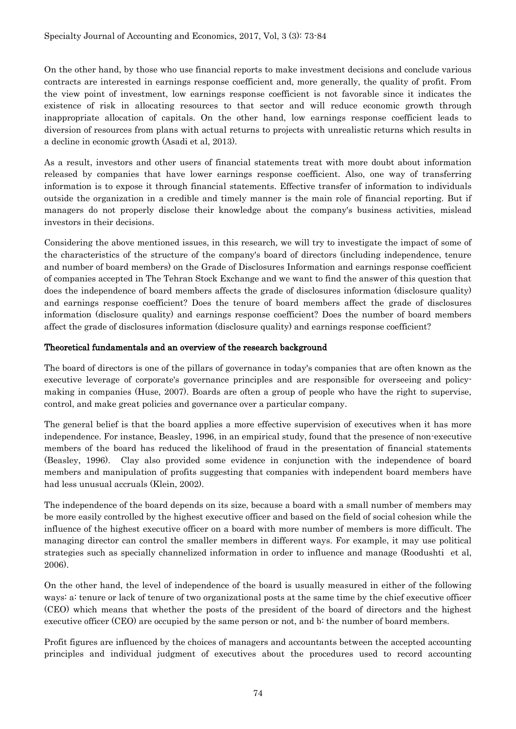On the other hand, by those who use financial reports to make investment decisions and conclude various contracts are interested in earnings response coefficient and, more generally, the quality of profit. From the view point of investment, low earnings response coefficient is not favorable since it indicates the existence of risk in allocating resources to that sector and will reduce economic growth through inappropriate allocation of capitals. On the other hand, low earnings response coefficient leads to diversion of resources from plans with actual returns to projects with unrealistic returns which results in a decline in economic growth (Asadi et al, 2013).

As a result, investors and other users of financial statements treat with more doubt about information released by companies that have lower earnings response coefficient. Also, one way of transferring information is to expose it through financial statements. Effective transfer of information to individuals outside the organization in a credible and timely manner is the main role of financial reporting. But if managers do not properly disclose their knowledge about the company's business activities, mislead investors in their decisions.

Considering the above mentioned issues, in this research, we will try to investigate the impact of some of the characteristics of the structure of the company's board of directors (including independence, tenure and number of board members) on the Grade of Disclosures Information and earnings response coefficient of companies accepted in The Tehran Stock Exchange and we want to find the answer of this question that does the independence of board members affects the grade of disclosures information (disclosure quality) and earnings response coefficient? Does the tenure of board members affect the grade of disclosures information (disclosure quality) and earnings response coefficient? Does the number of board members affect the grade of disclosures information (disclosure quality) and earnings response coefficient?

## Theoretical fundamentals and an overview of the research background

The board of directors is one of the pillars of governance in today's companies that are often known as the executive leverage of corporate's governance principles and are responsible for overseeing and policymaking in companies (Huse, 2007). Boards are often a group of people who have the right to supervise, control, and make great policies and governance over a particular company.

The general belief is that the board applies a more effective supervision of executives when it has more independence. For instance, Beasley, 1996, in an empirical study, found that the presence of non-executive members of the board has reduced the likelihood of fraud in the presentation of financial statements (Beasley, 1996). Clay also provided some evidence in conjunction with the independence of board members and manipulation of profits suggesting that companies with independent board members have had less unusual accruals (Klein, 2002).

The independence of the board depends on its size, because a board with a small number of members may be more easily controlled by the highest executive officer and based on the field of social cohesion while the influence of the highest executive officer on a board with more number of members is more difficult. The managing director can control the smaller members in different ways. For example, it may use political strategies such as specially channelized information in order to influence and manage (Roodushti et al, 2006).

On the other hand, the level of independence of the board is usually measured in either of the following ways: a: tenure or lack of tenure of two organizational posts at the same time by the chief executive officer (CEO) which means that whether the posts of the president of the board of directors and the highest executive officer (CEO) are occupied by the same person or not, and b: the number of board members.

Profit figures are influenced by the choices of managers and accountants between the accepted accounting principles and individual judgment of executives about the procedures used to record accounting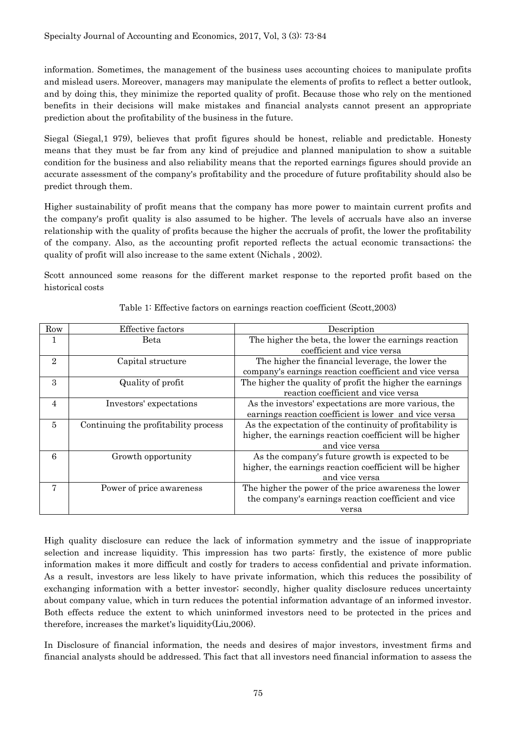information. Sometimes, the management of the business uses accounting choices to manipulate profits and mislead users. Moreover, managers may manipulate the elements of profits to reflect a better outlook, and by doing this, they minimize the reported quality of profit. Because those who rely on the mentioned benefits in their decisions will make mistakes and financial analysts cannot present an appropriate prediction about the profitability of the business in the future.

Siegal (Siegal,1 979), believes that profit figures should be honest, reliable and predictable. Honesty means that they must be far from any kind of prejudice and planned manipulation to show a suitable condition for the business and also reliability means that the reported earnings figures should provide an accurate assessment of the company's profitability and the procedure of future profitability should also be predict through them.

Higher sustainability of profit means that the company has more power to maintain current profits and the company's profit quality is also assumed to be higher. The levels of accruals have also an inverse relationship with the quality of profits because the higher the accruals of profit, the lower the profitability of the company. Also, as the accounting profit reported reflects the actual economic transactions; the quality of profit will also increase to the same extent (Nichals , 2002).

Scott announced some reasons for the different market response to the reported profit based on the historical costs

| Row            | <b>Effective factors</b>             | Description                                              |
|----------------|--------------------------------------|----------------------------------------------------------|
| $\mathbf{1}$   | Beta                                 | The higher the beta, the lower the earnings reaction     |
|                |                                      | coefficient and vice versa                               |
| $\overline{2}$ | Capital structure                    | The higher the financial leverage, the lower the         |
|                |                                      | company's earnings reaction coefficient and vice versa   |
| 3              | Quality of profit                    | The higher the quality of profit the higher the earnings |
|                |                                      | reaction coefficient and vice versa                      |
| 4              | Investors' expectations              | As the investors' expectations are more various, the     |
|                |                                      | earnings reaction coefficient is lower and vice versa    |
| 5              | Continuing the profitability process | As the expectation of the continuity of profitability is |
|                |                                      | higher, the earnings reaction coefficient will be higher |
|                |                                      | and vice versa                                           |
| 6              | Growth opportunity                   | As the company's future growth is expected to be         |
|                |                                      | higher, the earnings reaction coefficient will be higher |
|                |                                      | and vice versa                                           |
| 7              | Power of price awareness             | The higher the power of the price awareness the lower    |
|                |                                      | the company's earnings reaction coefficient and vice     |
|                |                                      | versa                                                    |

Table 1: Effective factors on earnings reaction coefficient (Scott,2003)

High quality disclosure can reduce the lack of information symmetry and the issue of inappropriate selection and increase liquidity. This impression has two parts: firstly, the existence of more public information makes it more difficult and costly for traders to access confidential and private information. As a result, investors are less likely to have private information, which this reduces the possibility of exchanging information with a better investor; secondly, higher quality disclosure reduces uncertainty about company value, which in turn reduces the potential information advantage of an informed investor. Both effects reduce the extent to which uninformed investors need to be protected in the prices and therefore, increases the market's liquidity(Liu,2006).

In Disclosure of financial information, the needs and desires of major investors, investment firms and financial analysts should be addressed. This fact that all investors need financial information to assess the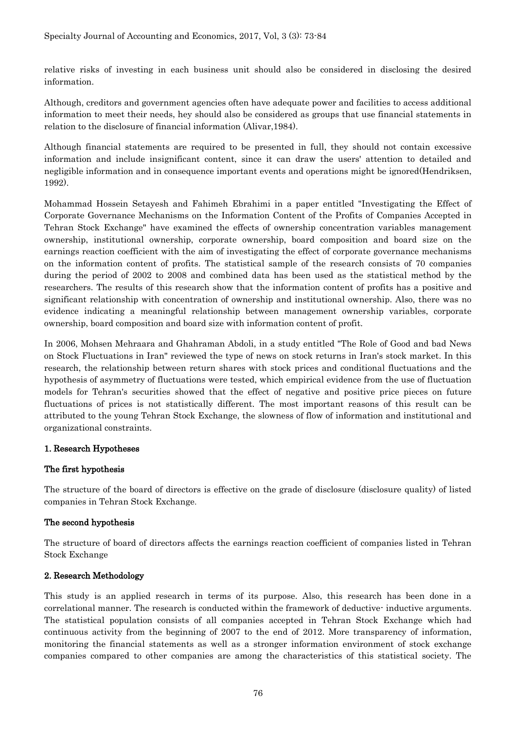relative risks of investing in each business unit should also be considered in disclosing the desired information.

Although, creditors and government agencies often have adequate power and facilities to access additional information to meet their needs, hey should also be considered as groups that use financial statements in relation to the disclosure of financial information (Alivar,1984).

Although financial statements are required to be presented in full, they should not contain excessive information and include insignificant content, since it can draw the users' attention to detailed and negligible information and in consequence important events and operations might be ignored(Hendriksen, 1992).

Mohammad Hossein Setayesh and Fahimeh Ebrahimi in a paper entitled "Investigating the Effect of Corporate Governance Mechanisms on the Information Content of the Profits of Companies Accepted in Tehran Stock Exchange" have examined the effects of ownership concentration variables management ownership, institutional ownership, corporate ownership, board composition and board size on the earnings reaction coefficient with the aim of investigating the effect of corporate governance mechanisms on the information content of profits. The statistical sample of the research consists of 70 companies during the period of 2002 to 2008 and combined data has been used as the statistical method by the researchers. The results of this research show that the information content of profits has a positive and significant relationship with concentration of ownership and institutional ownership. Also, there was no evidence indicating a meaningful relationship between management ownership variables, corporate ownership, board composition and board size with information content of profit.

In 2006, Mohsen Mehraara and Ghahraman Abdoli, in a study entitled "The Role of Good and bad News on Stock Fluctuations in Iran" reviewed the type of news on stock returns in Iran's stock market. In this research, the relationship between return shares with stock prices and conditional fluctuations and the hypothesis of asymmetry of fluctuations were tested, which empirical evidence from the use of fluctuation models for Tehran's securities showed that the effect of negative and positive price pieces on future fluctuations of prices is not statistically different. The most important reasons of this result can be attributed to the young Tehran Stock Exchange, the slowness of flow of information and institutional and organizational constraints.

# 1. Research Hypotheses

# The first hypothesis

The structure of the board of directors is effective on the grade of disclosure (disclosure quality) of listed companies in Tehran Stock Exchange.

# The second hypothesis

The structure of board of directors affects the earnings reaction coefficient of companies listed in Tehran Stock Exchange

# 2. Research Methodology

This study is an applied research in terms of its purpose. Also, this research has been done in a correlational manner. The research is conducted within the framework of deductive- inductive arguments. The statistical population consists of all companies accepted in Tehran Stock Exchange which had continuous activity from the beginning of 2007 to the end of 2012. More transparency of information, monitoring the financial statements as well as a stronger information environment of stock exchange companies compared to other companies are among the characteristics of this statistical society. The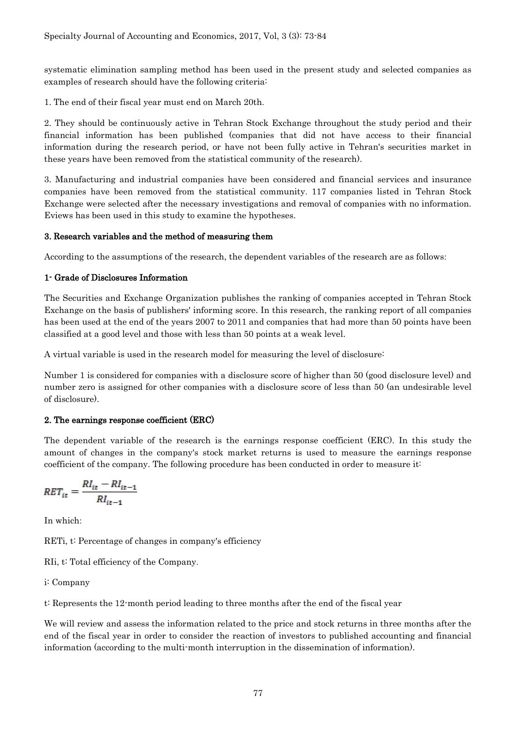systematic elimination sampling method has been used in the present study and selected companies as examples of research should have the following criteria:

1. The end of their fiscal year must end on March 20th.

2. They should be continuously active in Tehran Stock Exchange throughout the study period and their financial information has been published (companies that did not have access to their financial information during the research period, or have not been fully active in Tehran's securities market in these years have been removed from the statistical community of the research).

3. Manufacturing and industrial companies have been considered and financial services and insurance companies have been removed from the statistical community. 117 companies listed in Tehran Stock Exchange were selected after the necessary investigations and removal of companies with no information. Eviews has been used in this study to examine the hypotheses.

## 3. Research variables and the method of measuring them

According to the assumptions of the research, the dependent variables of the research are as follows:

## 1- Grade of Disclosures Information

The Securities and Exchange Organization publishes the ranking of companies accepted in Tehran Stock Exchange on the basis of publishers' informing score. In this research, the ranking report of all companies has been used at the end of the years 2007 to 2011 and companies that had more than 50 points have been classified at a good level and those with less than 50 points at a weak level.

A virtual variable is used in the research model for measuring the level of disclosure:

Number 1 is considered for companies with a disclosure score of higher than 50 (good disclosure level) and number zero is assigned for other companies with a disclosure score of less than 50 (an undesirable level of disclosure).

# 2. The earnings response coefficient (ERC)

The dependent variable of the research is the earnings response coefficient (ERC). In this study the amount of changes in the company's stock market returns is used to measure the earnings response coefficient of the company. The following procedure has been conducted in order to measure it:

$$
RET_{it} = \frac{RI_{it} - RI_{it-1}}{RI_{it-1}}
$$

In which:

RETi, t: Percentage of changes in company's efficiency

RIi, t: Total efficiency of the Company.

i: Company

t: Represents the 12-month period leading to three months after the end of the fiscal year

We will review and assess the information related to the price and stock returns in three months after the end of the fiscal year in order to consider the reaction of investors to published accounting and financial information (according to the multi-month interruption in the dissemination of information).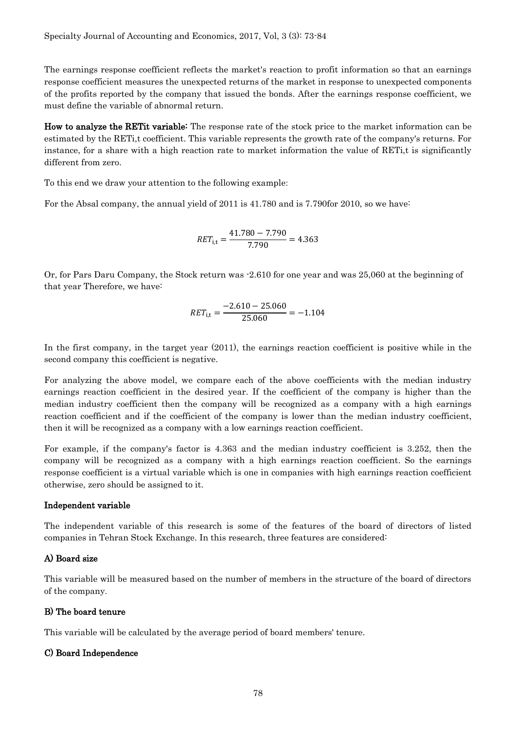The earnings response coefficient reflects the market's reaction to profit information so that an earnings response coefficient measures the unexpected returns of the market in response to unexpected components of the profits reported by the company that issued the bonds. After the earnings response coefficient, we must define the variable of abnormal return.

How to analyze the RETit variable: The response rate of the stock price to the market information can be estimated by the RETi,t coefficient. This variable represents the growth rate of the company's returns. For instance, for a share with a high reaction rate to market information the value of RETi,t is significantly different from zero.

To this end we draw your attention to the following example:

For the Absal company, the annual yield of 2011 is 41.780 and is 7.790for 2010, so we have:

$$
RET_{i,t} = \frac{41.780 - 7.790}{7.790} = 4.363
$$

Or, for Pars Daru Company, the Stock return was -2.610 for one year and was 25,060 at the beginning of that year Therefore, we have:

$$
RET_{\text{i,t}} = \frac{-2.610 - 25.060}{25.060} = -1.104
$$

In the first company, in the target year (2011), the earnings reaction coefficient is positive while in the second company this coefficient is negative.

For analyzing the above model, we compare each of the above coefficients with the median industry earnings reaction coefficient in the desired year. If the coefficient of the company is higher than the median industry coefficient then the company will be recognized as a company with a high earnings reaction coefficient and if the coefficient of the company is lower than the median industry coefficient, then it will be recognized as a company with a low earnings reaction coefficient.

For example, if the company's factor is 4.363 and the median industry coefficient is 3.252, then the company will be recognized as a company with a high earnings reaction coefficient. So the earnings response coefficient is a virtual variable which is one in companies with high earnings reaction coefficient otherwise, zero should be assigned to it.

#### Independent variable

The independent variable of this research is some of the features of the board of directors of listed companies in Tehran Stock Exchange. In this research, three features are considered:

#### A) Board size

This variable will be measured based on the number of members in the structure of the board of directors of the company.

#### B) The board tenure

This variable will be calculated by the average period of board members' tenure.

#### C) Board Independence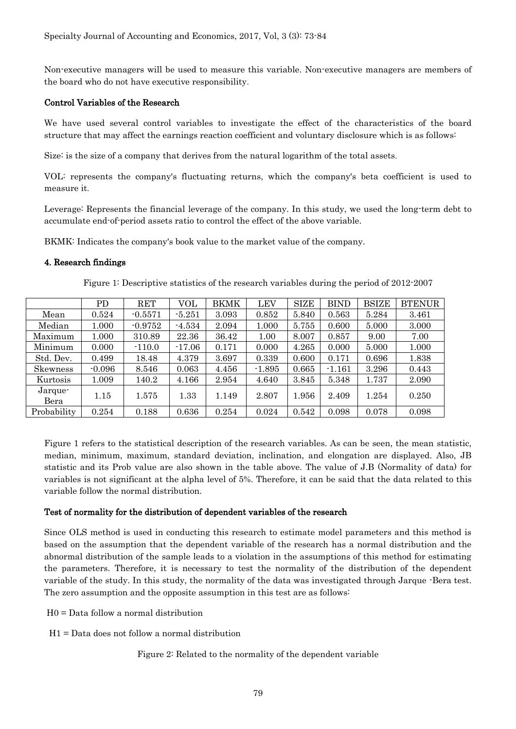Non-executive managers will be used to measure this variable. Non-executive managers are members of the board who do not have executive responsibility.

#### Control Variables of the Research

We have used several control variables to investigate the effect of the characteristics of the board structure that may affect the earnings reaction coefficient and voluntary disclosure which is as follows:

Size: is the size of a company that derives from the natural logarithm of the total assets.

VOL: represents the company's fluctuating returns, which the company's beta coefficient is used to measure it.

Leverage: Represents the financial leverage of the company. In this study, we used the long-term debt to accumulate end-of-period assets ratio to control the effect of the above variable.

BKMK: Indicates the company's book value to the market value of the company.

#### 4. Research findings

Figure 1: Descriptive statistics of the research variables during the period of 2012-2007

|                 | PD       | RET       | VOL      | <b>BKMK</b> | <b>LEV</b> | <b>SIZE</b> | <b>BIND</b> | <b>BSIZE</b> | <b>BTENUR</b> |
|-----------------|----------|-----------|----------|-------------|------------|-------------|-------------|--------------|---------------|
| Mean            | 0.524    | $-0.5571$ | $-5.251$ | 3.093       | 0.852      | 5.840       | 0.563       | 5.284        | 3.461         |
| Median          | 1.000    | $-0.9752$ | $-4.534$ | 2.094       | 1.000      | 5.755       | 0.600       | 5.000        | 3.000         |
| Maximum         | 1.000    | 310.89    | 22.36    | 36.42       | 1.00       | 8.007       | 0.857       | 9.00         | 7.00          |
| Minimum         | 0.000    | $-110.0$  | $-17.06$ | 0.171       | 0.000      | 4.265       | 0.000       | 5.000        | 1.000         |
| Std. Dev.       | 0.499    | 18.48     | 4.379    | 3.697       | 0.339      | 0.600       | 0.171       | 0.696        | 1.838         |
| Skewness        | $-0.096$ | 8.546     | 0.063    | 4.456       | $-1.895$   | 0.665       | $-1.161$    | 3.296        | 0.443         |
| Kurtosis        | 1.009    | 140.2     | 4.166    | 2.954       | 4.640      | 3.845       | 5.348       | 1.737        | 2.090         |
| Jarque-<br>Bera | 1.15     | 1.575     | 1.33     | 1.149       | 2.807      | 1.956       | 2.409       | 1.254        | 0.250         |
| Probability     | 0.254    | 0.188     | 0.636    | 0.254       | 0.024      | 0.542       | 0.098       | 0.078        | 0.098         |

Figure 1 refers to the statistical description of the research variables. As can be seen, the mean statistic, median, minimum, maximum, standard deviation, inclination, and elongation are displayed. Also, JB statistic and its Prob value are also shown in the table above. The value of J.B (Normality of data) for variables is not significant at the alpha level of 5%. Therefore, it can be said that the data related to this variable follow the normal distribution.

#### Test of normality for the distribution of dependent variables of the research

Since OLS method is used in conducting this research to estimate model parameters and this method is based on the assumption that the dependent variable of the research has a normal distribution and the abnormal distribution of the sample leads to a violation in the assumptions of this method for estimating the parameters. Therefore, it is necessary to test the normality of the distribution of the dependent variable of the study. In this study, the normality of the data was investigated through Jarque -Bera test. The zero assumption and the opposite assumption in this test are as follows:

H0 = Data follow a normal distribution

H1 = Data does not follow a normal distribution

#### Figure 2: Related to the normality of the dependent variable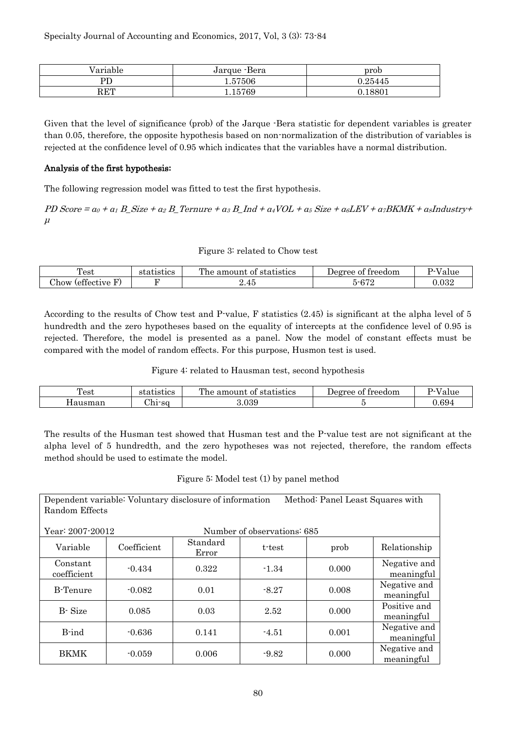| /ariable     | Jarque -Bera   | prob    |
|--------------|----------------|---------|
| PD           | $\ldots 57506$ | 0.25445 |
| $_{\rm RET}$ | 15769          | 8801    |

Given that the level of significance (prob) of the Jarque -Bera statistic for dependent variables is greater than 0.05, therefore, the opposite hypothesis based on non-normalization of the distribution of variables is rejected at the confidence level of 0.95 which indicates that the variables have a normal distribution.

## Analysis of the first hypothesis**:**

The following regression model was fitted to test the first hypothesis.

PD Score =  $a_0 + a_1 B$  Size +  $a_2 B$  Ternure +  $a_3 B$  Ind +  $a_4 VOL + a_5 Size + a_6 LEV + a_7 BKMK + a_8 Industry +$ μ

#### Figure 3: related to Chow test

| m<br>est                                                            | rtistics<br>∩1<br>.71/ | The<br>statistics<br>amount<br>0t | treedom<br>Προγρρ<br>. വ            |          |
|---------------------------------------------------------------------|------------------------|-----------------------------------|-------------------------------------|----------|
| $\alpha$<br>$\overline{\phantom{a}}$<br>.)how<br><i>s</i> effective |                        | $\overline{A}$<br>2.45            | $\alpha$ $\alpha$<br>---<br>$V + 4$ | $.032\,$ |

According to the results of Chow test and P-value, F statistics (2.45) is significant at the alpha level of 5 hundredth and the zero hypotheses based on the equality of intercepts at the confidence level of 0.95 is rejected. Therefore, the model is presented as a panel. Now the model of constant effects must be compared with the model of random effects. For this purpose, Husmon test is used.

Figure 4: related to Hausman test, second hypothesis

| Test    | statistics       | The amount<br>statistics<br>0Ī | treedom<br>Degree of | $T$ $T$<br>value |
|---------|------------------|--------------------------------|----------------------|------------------|
| Hausman | $\sim$<br>hı-sɑ. | .039                           |                      | $0.69^{\circ}$   |

The results of the Husman test showed that Husman test and the P-value test are not significant at the alpha level of 5 hundredth, and the zero hypotheses was not rejected, therefore, the random effects method should be used to estimate the model.

#### Figure 5: Model test (1) by panel method

Dependent variable: Voluntary disclosure of information Method: Panel Least Squares with Random Effects

Year: 2007-20012 Number of observations: 685

| 1 cai · 400 i 400 i 4   |             |                   | Number of observations. 669 |       |                            |
|-------------------------|-------------|-------------------|-----------------------------|-------|----------------------------|
| Variable                | Coefficient | Standard<br>Error | t-test                      | prob  | Relationship               |
| Constant<br>coefficient | $-0.434$    | 0.322             | $-1.34$                     | 0.000 | Negative and<br>meaningful |
| <b>B-Tenure</b>         | $-0.082$    | 0.01              | $-8.27$                     | 0.008 | Negative and<br>meaningful |
| B-Size                  | 0.085       | 0.03              | 2.52                        | 0.000 | Positive and<br>meaningful |
| B-ind                   | $-0.636$    | 0.141             | $-4.51$                     | 0.001 | Negative and<br>meaningful |
| BKMK                    | $-0.059$    | 0.006             | $-9.82$                     | 0.000 | Negative and<br>meaningful |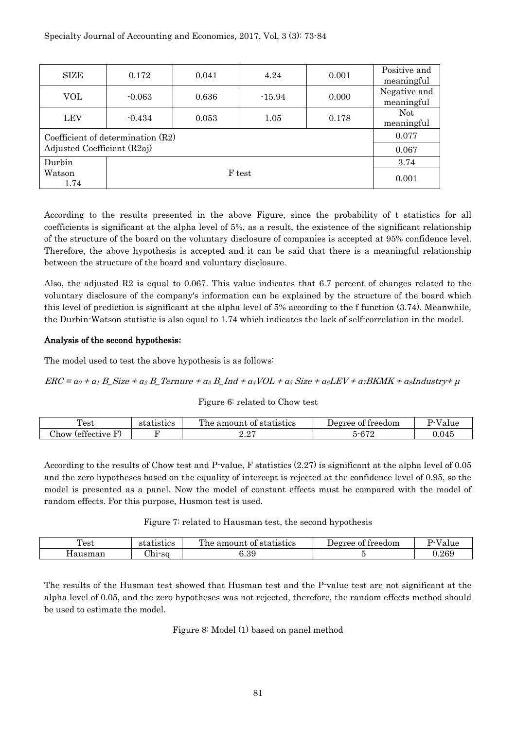| SIZE                                | 0.172                       | 0.041 | 4.24     | 0.001 | Positive and<br>meaningful |  |  |
|-------------------------------------|-----------------------------|-------|----------|-------|----------------------------|--|--|
| VOL                                 | $-0.063$                    | 0.636 | $-15.94$ | 0.000 | Negative and<br>meaningful |  |  |
| <b>LEV</b>                          | $-0.434$                    | 0.053 | 1.05     | 0.178 | <b>Not</b><br>meaningful   |  |  |
| Coefficient of determination $(R2)$ | 0.077                       |       |          |       |                            |  |  |
|                                     | Adjusted Coefficient (R2aj) |       |          |       |                            |  |  |
| Durbin                              | 3.74                        |       |          |       |                            |  |  |
| Watson<br>1.74                      | 0.001                       |       |          |       |                            |  |  |

According to the results presented in the above Figure, since the probability of t statistics for all coefficients is significant at the alpha level of 5%, as a result, the existence of the significant relationship of the structure of the board on the voluntary disclosure of companies is accepted at 95% confidence level. Therefore, the above hypothesis is accepted and it can be said that there is a meaningful relationship between the structure of the board and voluntary disclosure.

Also, the adjusted R2 is equal to 0.067. This value indicates that 6.7 percent of changes related to the voluntary disclosure of the company's information can be explained by the structure of the board which this level of prediction is significant at the alpha level of 5% according to the f function (3.74). Meanwhile, the Durbin-Watson statistic is also equal to 1.74 which indicates the lack of self-correlation in the model.

## Analysis of the second hypothesis**:**

The model used to test the above hypothesis is as follows:

#### $ERC = \alpha_0 + \alpha_1 B$  Size +  $\alpha_2 B$  Ternure +  $\alpha_3 B$  Ind +  $\alpha_4 VOL + \alpha_5 S$ ize +  $\alpha_6 LEV + \alpha_7 BKMK + \alpha_8 Industry + \mu$

#### Figure 6: related to Chow test

| Test                                                       | statistics | The amount of<br>statistics | treedom<br>Degree of         | $T = T$ |
|------------------------------------------------------------|------------|-----------------------------|------------------------------|---------|
| $\alpha$<br>$\sim$<br>$\sim$<br>.how<br><i>s</i> ettective |            | . റ⊏<br>---                 | $\theta$ $\pi$<br>~-6<br>012 | 0.045   |

According to the results of Chow test and P-value, F statistics (2.27) is significant at the alpha level of 0.05 and the zero hypotheses based on the equality of intercept is rejected at the confidence level of 0.95, so the model is presented as a panel. Now the model of constant effects must be compared with the model of random effects. For this purpose, Husmon test is used.

#### Figure 7: related to Hausman test, the second hypothesis

| m<br>rest                | utistics         | The<br>statistics<br>amount<br>nt.<br>-812 | treedom<br>$100$ ree<br>. വ | $ -$      |
|--------------------------|------------------|--------------------------------------------|-----------------------------|-----------|
| $\sim$ $\sim$<br>'ausman | $\sim$<br>רin So | റ<br>.o.                                   |                             | ${0.269}$ |

The results of the Husman test showed that Husman test and the P-value test are not significant at the alpha level of 0.05, and the zero hypotheses was not rejected, therefore, the random effects method should be used to estimate the model.

Figure 8: Model (1) based on panel method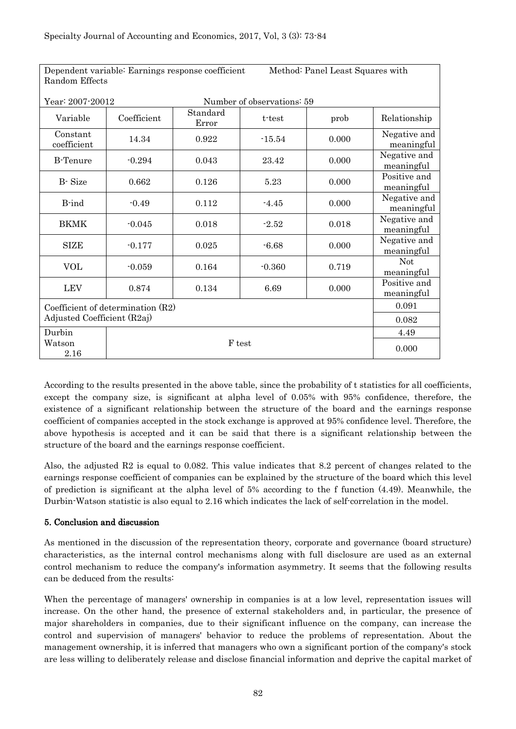| Dependent variable: Earnings response coefficient<br>Random Effects | Method: Panel Least Squares with |                   |          |       |                            |  |  |
|---------------------------------------------------------------------|----------------------------------|-------------------|----------|-------|----------------------------|--|--|
| Year: 2007-20012<br>Number of observations: 59                      |                                  |                   |          |       |                            |  |  |
| Variable                                                            | Coefficient                      | Standard<br>Error | t-test   | prob  | Relationship               |  |  |
| Constant<br>coefficient                                             | 14.34                            | 0.922             | $-15.54$ | 0.000 | Negative and<br>meaningful |  |  |
| <b>B-Tenure</b>                                                     | $-0.294$                         | 0.043             | 23.42    | 0.000 | Negative and<br>meaningful |  |  |
| B-Size                                                              | 0.662                            | 0.126             | 5.23     | 0.000 | Positive and<br>meaningful |  |  |
| B-ind                                                               | $-0.49$                          | 0.112             | $-4.45$  | 0.000 | Negative and<br>meaningful |  |  |
| <b>BKMK</b>                                                         | $-0.045$                         | 0.018             | $-2.52$  | 0.018 | Negative and<br>meaningful |  |  |
| <b>SIZE</b>                                                         | $-0.177$                         | 0.025             | $-6.68$  | 0.000 | Negative and<br>meaningful |  |  |
| <b>VOL</b>                                                          | $-0.059$                         | 0.164             | $-0.360$ | 0.719 | Not<br>meaningful          |  |  |
| <b>LEV</b>                                                          | 0.874                            | 0.134             | 6.69     | 0.000 | Positive and<br>meaningful |  |  |
| Coefficient of determination (R2)                                   | 0.091                            |                   |          |       |                            |  |  |
|                                                                     | Adjusted Coefficient (R2aj)      |                   |          |       |                            |  |  |
| Durbin                                                              |                                  |                   |          |       | 4.49                       |  |  |
| Watson<br>2.16                                                      |                                  |                   | F test   |       | 0.000                      |  |  |

According to the results presented in the above table, since the probability of t statistics for all coefficients, except the company size, is significant at alpha level of 0.05% with 95% confidence, therefore, the existence of a significant relationship between the structure of the board and the earnings response coefficient of companies accepted in the stock exchange is approved at 95% confidence level. Therefore, the above hypothesis is accepted and it can be said that there is a significant relationship between the structure of the board and the earnings response coefficient.

Also, the adjusted R2 is equal to 0.082. This value indicates that 8.2 percent of changes related to the earnings response coefficient of companies can be explained by the structure of the board which this level of prediction is significant at the alpha level of 5% according to the f function (4.49). Meanwhile, the Durbin-Watson statistic is also equal to 2.16 which indicates the lack of self-correlation in the model.

# 5. Conclusion and discussion

As mentioned in the discussion of the representation theory, corporate and governance (board structure) characteristics, as the internal control mechanisms along with full disclosure are used as an external control mechanism to reduce the company's information asymmetry. It seems that the following results can be deduced from the results:

When the percentage of managers' ownership in companies is at a low level, representation issues will increase. On the other hand, the presence of external stakeholders and, in particular, the presence of major shareholders in companies, due to their significant influence on the company, can increase the control and supervision of managers' behavior to reduce the problems of representation. About the management ownership, it is inferred that managers who own a significant portion of the company's stock are less willing to deliberately release and disclose financial information and deprive the capital market of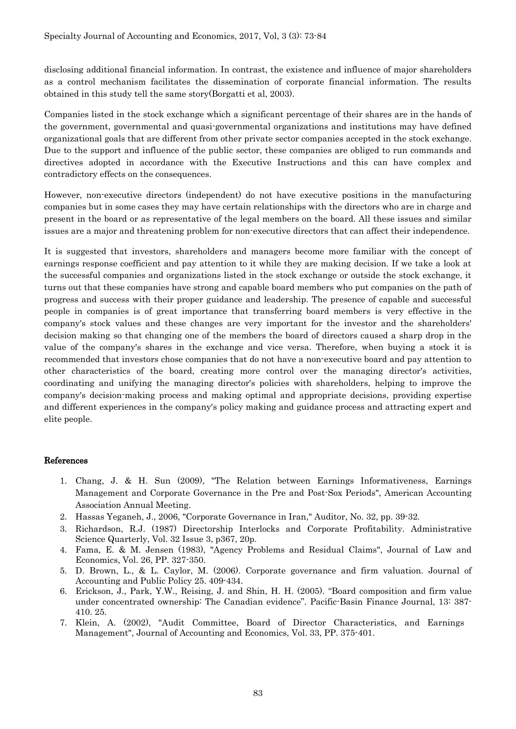disclosing additional financial information. In contrast, the existence and influence of major shareholders as a control mechanism facilitates the dissemination of corporate financial information. The results obtained in this study tell the same story(Borgatti et al, 2003).

Companies listed in the stock exchange which a significant percentage of their shares are in the hands of the government, governmental and quasi-governmental organizations and institutions may have defined organizational goals that are different from other private sector companies accepted in the stock exchange. Due to the support and influence of the public sector, these companies are obliged to run commands and directives adopted in accordance with the Executive Instructions and this can have complex and contradictory effects on the consequences.

However, non-executive directors (independent) do not have executive positions in the manufacturing companies but in some cases they may have certain relationships with the directors who are in charge and present in the board or as representative of the legal members on the board. All these issues and similar issues are a major and threatening problem for non-executive directors that can affect their independence.

It is suggested that investors, shareholders and managers become more familiar with the concept of earnings response coefficient and pay attention to it while they are making decision. If we take a look at the successful companies and organizations listed in the stock exchange or outside the stock exchange, it turns out that these companies have strong and capable board members who put companies on the path of progress and success with their proper guidance and leadership. The presence of capable and successful people in companies is of great importance that transferring board members is very effective in the company's stock values and these changes are very important for the investor and the shareholders' decision making so that changing one of the members the board of directors caused a sharp drop in the value of the company's shares in the exchange and vice versa. Therefore, when buying a stock it is recommended that investors chose companies that do not have a non-executive board and pay attention to other characteristics of the board, creating more control over the managing director's activities, coordinating and unifying the managing director's policies with shareholders, helping to improve the company's decision-making process and making optimal and appropriate decisions, providing expertise and different experiences in the company's policy making and guidance process and attracting expert and elite people.

#### References

- 1. Chang, J. & H. Sun (2009), "The Relation between Earnings Informativeness, Earnings Management and Corporate Governance in the Pre and Post-Sox Periods", American Accounting Association Annual Meeting.
- 2. Hassas Yeganeh, J., 2006, "Corporate Governance in Iran," Auditor, No. 32, pp. 39-32.
- 3. Richardson, R.J. (1987) Directorship Interlocks and Corporate Profitability. Administrative Science Quarterly, Vol. 32 Issue 3, p367, 20p.
- 4. Fama, E. & M. Jensen (1983), "Agency Problems and Residual Claims", Journal of Law and Economics, Vol. 26, PP. 327-350.
- 5. D. Brown, L., & L. Caylor, M. (2006). Corporate governance and firm valuation. Journal of Accounting and Public Policy 25. 409-434.
- 6. Erickson, J., Park, Y.W., Reising, J. and Shin, H. H. (2005). "Board composition and firm value under concentrated ownership: The Canadian evidence". Pacific-Basin Finance Journal, 13: 387- 410. 25.
- 7. Klein, A. (2002), "Audit Committee, Board of Director Characteristics, and Earnings Management", Journal of Accounting and Economics, Vol. 33, PP. 375-401.